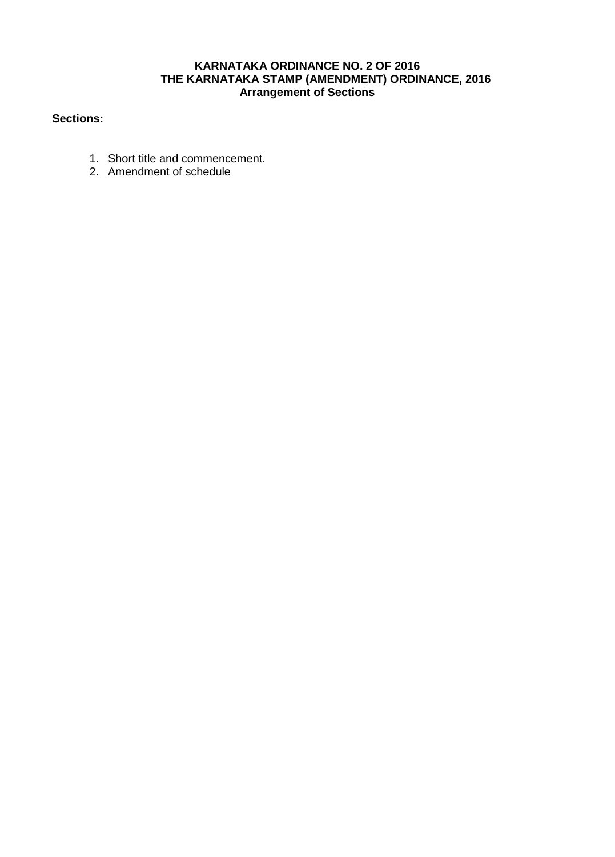### **KARNATAKA ORDINANCE NO. 2 OF 2016 THE KARNATAKA STAMP (AMENDMENT) ORDINANCE, 2016 Arrangement of Sections**

## **Sections:**

- 1. Short title and commencement.
- 2. Amendment of schedule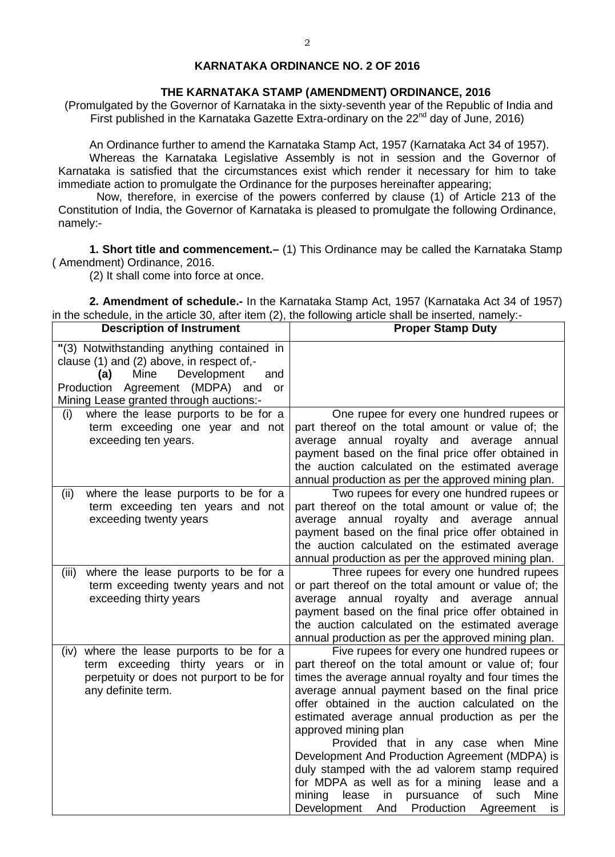### **KARNATAKA ORDINANCE NO. 2 OF 2016**

#### **THE KARNATAKA STAMP (AMENDMENT) ORDINANCE, 2016**

(Promulgated by the Governor of Karnataka in the sixty-seventh year of the Republic of India and First published in the Karnataka Gazette Extra-ordinary on the  $22^{nd}$  day of June, 2016)

An Ordinance further to amend the Karnataka Stamp Act, 1957 (Karnataka Act 34 of 1957). Whereas the Karnataka Legislative Assembly is not in session and the Governor of Karnataka is satisfied that the circumstances exist which render it necessary for him to take immediate action to promulgate the Ordinance for the purposes hereinafter appearing;

 Now, therefore, in exercise of the powers conferred by clause (1) of Article 213 of the Constitution of India, the Governor of Karnataka is pleased to promulgate the following Ordinance, namely:-

**1. Short title and commencement.–** (1) This Ordinance may be called the Karnataka Stamp ( Amendment) Ordinance, 2016.

(2) It shall come into force at once.

**2. Amendment of schedule.-** In the Karnataka Stamp Act, 1957 (Karnataka Act 34 of 1957) in the schedule, in the article 30, after item (2), the following article shall be inserted, namely:-

| <b>Description of Instrument</b>                                                                                                                                                                                 | <b>Proper Stamp Duty</b>                                                                                                                                                                                                                                                                                                                                                                                                                                                                                                                                                                                                                          |
|------------------------------------------------------------------------------------------------------------------------------------------------------------------------------------------------------------------|---------------------------------------------------------------------------------------------------------------------------------------------------------------------------------------------------------------------------------------------------------------------------------------------------------------------------------------------------------------------------------------------------------------------------------------------------------------------------------------------------------------------------------------------------------------------------------------------------------------------------------------------------|
| "(3) Notwithstanding anything contained in<br>clause (1) and (2) above, in respect of,-<br>Mine<br>Development<br>(a)<br>and<br>Production Agreement (MDPA) and<br>or<br>Mining Lease granted through auctions:- |                                                                                                                                                                                                                                                                                                                                                                                                                                                                                                                                                                                                                                                   |
| where the lease purports to be for a<br>(i)<br>term exceeding one year and not<br>exceeding ten years.                                                                                                           | One rupee for every one hundred rupees or<br>part thereof on the total amount or value of; the<br>average annual royalty and average annual<br>payment based on the final price offer obtained in<br>the auction calculated on the estimated average<br>annual production as per the approved mining plan.                                                                                                                                                                                                                                                                                                                                        |
| where the lease purports to be for a<br>(ii)<br>term exceeding ten years and not<br>exceeding twenty years                                                                                                       | Two rupees for every one hundred rupees or<br>part thereof on the total amount or value of; the<br>annual royalty and average annual<br>average<br>payment based on the final price offer obtained in<br>the auction calculated on the estimated average<br>annual production as per the approved mining plan.                                                                                                                                                                                                                                                                                                                                    |
| where the lease purports to be for a<br>(iii)<br>term exceeding twenty years and not<br>exceeding thirty years                                                                                                   | Three rupees for every one hundred rupees<br>or part thereof on the total amount or value of; the<br>annual<br>royalty and average annual<br>average<br>payment based on the final price offer obtained in<br>the auction calculated on the estimated average<br>annual production as per the approved mining plan.                                                                                                                                                                                                                                                                                                                               |
| where the lease purports to be for a<br>(iv)<br>term exceeding thirty years or<br>in<br>perpetuity or does not purport to be for<br>any definite term.                                                           | Five rupees for every one hundred rupees or<br>part thereof on the total amount or value of; four<br>times the average annual royalty and four times the<br>average annual payment based on the final price<br>offer obtained in the auction calculated on the<br>estimated average annual production as per the<br>approved mining plan<br>Provided that in any case when Mine<br>Development And Production Agreement (MDPA) is<br>duly stamped with the ad valorem stamp required<br>for MDPA as well as for a mining lease and a<br>lease<br>of<br>mining<br>in<br>pursuance<br>such<br>Mine<br>Development And<br>Production Agreement<br>is |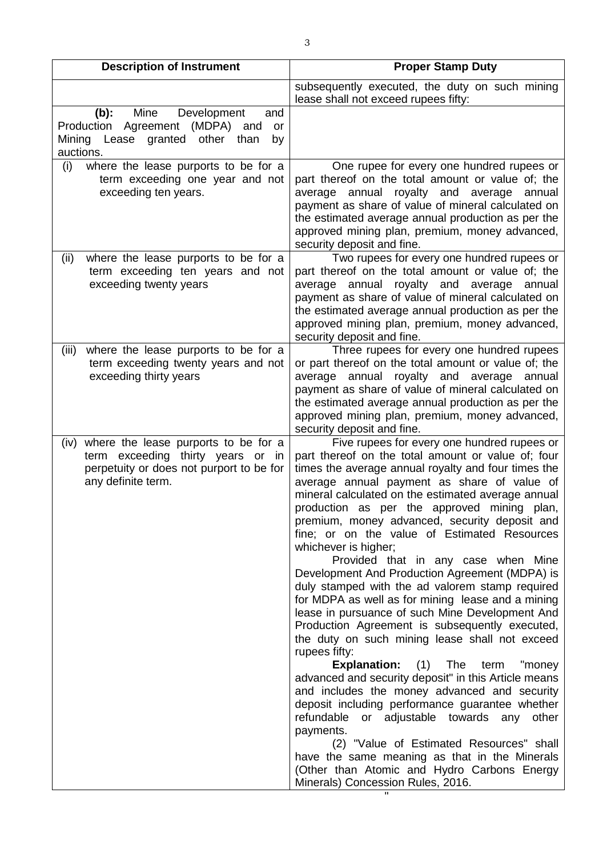| <b>Description of Instrument</b>                                                                                                                    | <b>Proper Stamp Duty</b>                                                                                                                                                                                                                                                                                                                                                                                                                                                                                                                                                                                                                                                                                                                                                                                                                                                                                                                                                                                                                                                                                                                                                                                                                                                  |
|-----------------------------------------------------------------------------------------------------------------------------------------------------|---------------------------------------------------------------------------------------------------------------------------------------------------------------------------------------------------------------------------------------------------------------------------------------------------------------------------------------------------------------------------------------------------------------------------------------------------------------------------------------------------------------------------------------------------------------------------------------------------------------------------------------------------------------------------------------------------------------------------------------------------------------------------------------------------------------------------------------------------------------------------------------------------------------------------------------------------------------------------------------------------------------------------------------------------------------------------------------------------------------------------------------------------------------------------------------------------------------------------------------------------------------------------|
|                                                                                                                                                     | subsequently executed, the duty on such mining                                                                                                                                                                                                                                                                                                                                                                                                                                                                                                                                                                                                                                                                                                                                                                                                                                                                                                                                                                                                                                                                                                                                                                                                                            |
|                                                                                                                                                     | lease shall not exceed rupees fifty:                                                                                                                                                                                                                                                                                                                                                                                                                                                                                                                                                                                                                                                                                                                                                                                                                                                                                                                                                                                                                                                                                                                                                                                                                                      |
| Mine<br>$(b)$ :<br>Development<br>and<br>Production Agreement (MDPA)<br>and<br>or<br>Mining Lease granted<br>other<br>than<br>by<br>auctions.       |                                                                                                                                                                                                                                                                                                                                                                                                                                                                                                                                                                                                                                                                                                                                                                                                                                                                                                                                                                                                                                                                                                                                                                                                                                                                           |
| where the lease purports to be for a<br>(i)<br>term exceeding one year and not<br>exceeding ten years.                                              | One rupee for every one hundred rupees or<br>part thereof on the total amount or value of; the<br>average annual<br>royalty and average<br>annual<br>payment as share of value of mineral calculated on<br>the estimated average annual production as per the<br>approved mining plan, premium, money advanced,<br>security deposit and fine.                                                                                                                                                                                                                                                                                                                                                                                                                                                                                                                                                                                                                                                                                                                                                                                                                                                                                                                             |
| where the lease purports to be for a<br>(ii)<br>term exceeding ten years and not<br>exceeding twenty years                                          | Two rupees for every one hundred rupees or<br>part thereof on the total amount or value of; the<br>royalty and average<br>average annual<br>annual<br>payment as share of value of mineral calculated on<br>the estimated average annual production as per the<br>approved mining plan, premium, money advanced,<br>security deposit and fine.                                                                                                                                                                                                                                                                                                                                                                                                                                                                                                                                                                                                                                                                                                                                                                                                                                                                                                                            |
| where the lease purports to be for a<br>(iii)<br>term exceeding twenty years and not<br>exceeding thirty years                                      | Three rupees for every one hundred rupees<br>or part thereof on the total amount or value of; the<br>average annual royalty and average<br>annual<br>payment as share of value of mineral calculated on<br>the estimated average annual production as per the<br>approved mining plan, premium, money advanced,<br>security deposit and fine.                                                                                                                                                                                                                                                                                                                                                                                                                                                                                                                                                                                                                                                                                                                                                                                                                                                                                                                             |
| where the lease purports to be for a<br>(iv)<br>term exceeding thirty years or in<br>perpetuity or does not purport to be for<br>any definite term. | Five rupees for every one hundred rupees or<br>part thereof on the total amount or value of; four<br>times the average annual royalty and four times the<br>average annual payment as share of value of<br>mineral calculated on the estimated average annual<br>production as per the approved mining plan,<br>premium, money advanced, security deposit and<br>fine; or on the value of Estimated Resources<br>whichever is higher;<br>Provided that in any case when Mine<br>Development And Production Agreement (MDPA) is<br>duly stamped with the ad valorem stamp required<br>for MDPA as well as for mining lease and a mining<br>lease in pursuance of such Mine Development And<br>Production Agreement is subsequently executed,<br>the duty on such mining lease shall not exceed<br>rupees fifty:<br><b>Explanation:</b> (1) The<br>term<br>"money<br>advanced and security deposit" in this Article means<br>and includes the money advanced and security<br>deposit including performance guarantee whether<br>refundable or adjustable towards any<br>other<br>payments.<br>(2) "Value of Estimated Resources" shall<br>have the same meaning as that in the Minerals<br>(Other than Atomic and Hydro Carbons Energy<br>Minerals) Concession Rules, 2016. |

" "The contract of the contract of the contract of the contract of the contract of the contract of the contract of the contract of the contract of the contract of the contract of the contract of the contract of the contrac